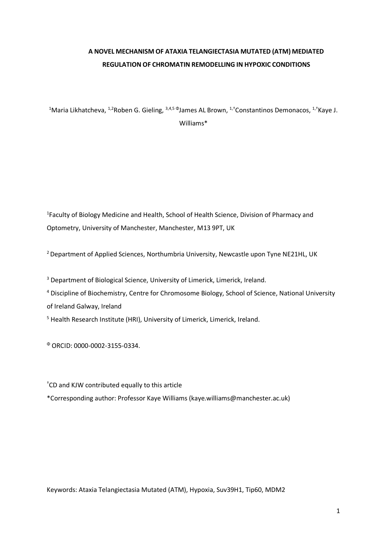# **A NOVEL MECHANISM OF ATAXIA TELANGIECTASIA MUTATED (ATM) MEDIATED REGULATION OF CHROMATIN REMODELLING IN HYPOXIC CONDITIONS**

<sup>1</sup>Maria Likhatcheva, <sup>1,2</sup>Roben G. Gieling, <sup>3,4,5 Φ</sup>James AL Brown, <sup>1,†</sup>Constantinos Demonacos, <sup>1,†</sup>Kaye J. Williams\*

<sup>1</sup> Faculty of Biology Medicine and Health, School of Health Science, Division of Pharmacy and Optometry, University of Manchester, Manchester, M13 9PT, UK

2 Department of Applied Sciences, Northumbria University, Newcastle upon Tyne NE21HL, UK

<sup>3</sup> Department of Biological Science, University of Limerick, Limerick, Ireland.

<sup>4</sup> Discipline of Biochemistry, Centre for Chromosome Biology, School of Science, National University of Ireland Galway, Ireland

<sup>5</sup> Health Research Institute (HRI), University of Limerick, Limerick, Ireland.

<sup>Φ</sup> ORCID: 0000-0002-3155-0334.

† CD and KJW contributed equally to this article

\*Corresponding author: Professor Kaye Williams (kaye.williams@manchester.ac.uk)

Keywords: Ataxia Telangiectasia Mutated (ATM), Hypoxia, Suv39H1, Tip60, MDM2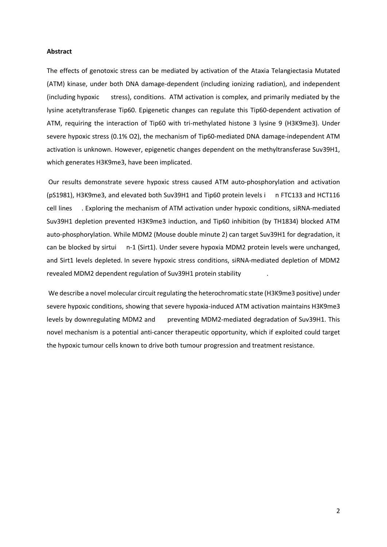# **Abstract**

The effects of genotoxic stress can be mediated by activation of the Ataxia Telangiectasia Mutated (ATM) kinase, under both DNA damage-dependent (including ionizing radiation), and independent (including hypoxic stress), conditions. ATM activation is complex, and primarily mediated by the lysine acetyltransferase Tip60. Epigenetic changes can regulate this Tip60-dependent activation of ATM, requiring the interaction of Tip60 with tri-methylated histone 3 lysine 9 (H3K9me3). Under severe hypoxic stress (0.1% O2), the mechanism of Tip60-mediated DNA damage-independent ATM activation is unknown. However, epigenetic changes dependent on the methyltransferase Suv39H1, which generates H3K9me3, have been implicated.

Our results demonstrate severe hypoxic stress caused ATM auto-phosphorylation and activation (pS1981), H3K9me3, and elevated both Suv39H1 and Tip60 protein levels i n FTC133 and HCT116 cell lines . Exploring the mechanism of ATM activation under hypoxic conditions, siRNA-mediated Suv39H1 depletion prevented H3K9me3 induction, and Tip60 inhibition (by TH1834) blocked ATM auto-phosphorylation. While MDM2 (Mouse double minute 2) can target Suv39H1 for degradation, it can be blocked by sirtui n-1 (Sirt1). Under severe hypoxia MDM2 protein levels were unchanged, and Sirt1 levels depleted. In severe hypoxic stress conditions, siRNA-mediated depletion of MDM2 revealed MDM2 dependent regulation of Suv39H1 protein stability .

We describe a novel molecular circuit regulating the heterochromatic state (H3K9me3 positive) under severe hypoxic conditions, showing that severe hypoxia-induced ATM activation maintains H3K9me3 levels by downregulating MDM2 and preventing MDM2-mediated degradation of Suv39H1. This novel mechanism is a potential anti-cancer therapeutic opportunity, which if exploited could target the hypoxic tumour cells known to drive both tumour progression and treatment resistance.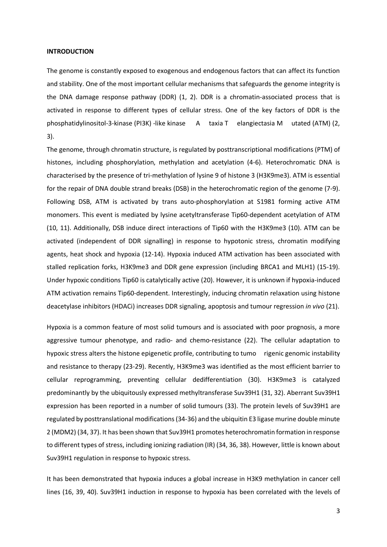### **INTRODUCTION**

The genome is constantly exposed to exogenous and endogenous factors that can affect its function and stability. One of the most important cellular mechanisms that safeguards the genome integrity is the DNA damage response pathway (DDR) (1, 2). DDR is a chromatin-associated process that is activated in response to different types of cellular stress. One of the key factors of DDR is the phosphatidylinositol-3-kinase (PI3K) -like kinase A taxia T elangiectasia M utated (ATM) (2, 3).

The genome, through chromatin structure, is regulated by posttranscriptional modifications (PTM) of histones, including phosphorylation, methylation and acetylation (4-6). Heterochromatic DNA is characterised by the presence of tri-methylation of lysine 9 of histone 3 (H3K9me3). ATM is essential for the repair of DNA double strand breaks (DSB) in the heterochromatic region of the genome (7-9). Following DSB, ATM is activated by trans auto-phosphorylation at S1981 forming active ATM monomers. This event is mediated by lysine acetyltransferase Tip60-dependent acetylation of ATM (10, 11). Additionally, DSB induce direct interactions of Tip60 with the H3K9me3 (10). ATM can be activated (independent of DDR signalling) in response to hypotonic stress, chromatin modifying agents, heat shock and hypoxia (12-14). Hypoxia induced ATM activation has been associated with stalled replication forks, H3K9me3 and DDR gene expression (including BRCA1 and MLH1) (15-19). Under hypoxic conditions Tip60 is catalytically active (20). However, it is unknown if hypoxia-induced ATM activation remains Tip60-dependent. Interestingly, inducing chromatin relaxation using histone deacetylase inhibitors (HDACi) increases DDR signaling, apoptosis and tumour regression *in vivo* (21).

Hypoxia is a common feature of most solid tumours and is associated with poor prognosis, a more aggressive tumour phenotype, and radio- and chemo-resistance (22). The cellular adaptation to hypoxic stress alters the histone epigenetic profile, contributing to tumo rigenic genomic instability and resistance to therapy (23-29). Recently, H3K9me3 was identified as the most efficient barrier to cellular reprogramming, preventing cellular dedifferentiation (30). H3K9me3 is catalyzed predominantly by the ubiquitously expressed methyltransferase Suv39H1 (31, 32). Aberrant Suv39H1 expression has been reported in a number of solid tumours (33). The protein levels of Suv39H1 are regulated by posttranslational modifications (34-36) and the ubiquitin E3 ligase murine double minute 2 (MDM2) (34, 37). It has been shown that Suv39H1 promotes heterochromatin formation in response to different types of stress, including ionizing radiation (IR) (34, 36, 38). However, little is known about Suv39H1 regulation in response to hypoxic stress.

It has been demonstrated that hypoxia induces a global increase in H3K9 methylation in cancer cell lines (16, 39, 40). Suv39H1 induction in response to hypoxia has been correlated with the levels of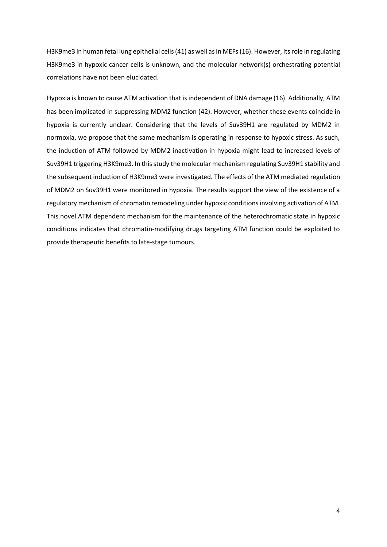H3K9me3 in human fetal lung epithelial cells (41) as well as in MEFs (16). However, its role in regulating H3K9me3 in hypoxic cancer cells is unknown, and the molecular network(s) orchestrating potential correlations have not been elucidated.

Hypoxia is known to cause ATM activation that is independent of DNA damage (16). Additionally, ATM has been implicated in suppressing MDM2 function (42). However, whether these events coincide in hypoxia is currently unclear. Considering that the levels of Suv39H1 are regulated by MDM2 in normoxia, we propose that the same mechanism is operating in response to hypoxic stress. As such, the induction of ATM followed by MDM2 inactivation in hypoxia might lead to increased levels of Suv39H1 triggering H3K9me3. In this study the molecular mechanism regulating Suv39H1 stability and the subsequent induction of H3K9me3 were investigated. The effects of the ATM mediated regulation of MDM2 on Suv39H1 were monitored in hypoxia. The results support the view of the existence of a regulatory mechanism of chromatin remodeling under hypoxic conditions involving activation of ATM. This novel ATM dependent mechanism for the maintenance of the heterochromatic state in hypoxic conditions indicates that chromatin-modifying drugs targeting ATM function could be exploited to provide therapeutic benefits to late-stage tumours.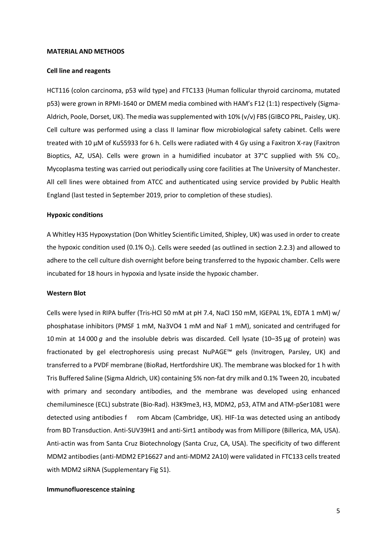#### **MATERIAL AND METHODS**

#### **Cell line and reagents**

HCT116 (colon carcinoma, p53 wild type) and FTC133 (Human follicular thyroid carcinoma, mutated p53) were grown in RPMI-1640 or DMEM media combined with HAM's F12 (1:1) respectively (Sigma-Aldrich, Poole, Dorset, UK). The media was supplemented with 10% (v/v) FBS (GIBCO PRL, Paisley, UK). Cell culture was performed using a class II laminar flow microbiological safety cabinet. Cells were treated with 10 µM of Ku55933 for 6 h. Cells were radiated with 4 Gy using a Faxitron X-ray (Faxitron Bioptics, AZ, USA). Cells were grown in a humidified incubator at 37°C supplied with 5% CO<sub>2</sub>. Mycoplasma testing was carried out periodically using core facilities at The University of Manchester. All cell lines were obtained from ATCC and authenticated using service provided by Public Health England (last tested in September 2019, prior to completion of these studies).

#### **Hypoxic conditions**

A Whitley H35 Hypoxystation (Don Whitley Scientific Limited, Shipley, UK) was used in order to create the hypoxic condition used  $(0.1\% O_2)$ . Cells were seeded (as outlined in section 2.2.3) and allowed to adhere to the cell culture dish overnight before being transferred to the hypoxic chamber. Cells were incubated for 18 hours in hypoxia and lysate inside the hypoxic chamber.

#### **Western Blot**

Cells were lysed in RIPA buffer (Tris-HCl 50 mM at pH 7.4, NaCl 150 mM, IGEPAL 1%, EDTA 1 mM) w/ phosphatase inhibitors (PMSF 1 mM, Na3VO4 1 mM and NaF 1 mM), sonicated and centrifuged for 10 min at 14 000 *g* and the insoluble debris was discarded. Cell lysate (10–35 μg of protein) was fractionated by gel electrophoresis using precast NuPAGE™ gels (Invitrogen, Parsley, UK) and transferred to a PVDF membrane (BioRad, Hertfordshire UK). The membrane was blocked for 1 h with Tris Buffered Saline (Sigma Aldrich, UK) containing 5% non-fat dry milk and 0.1% Tween 20, incubated with primary and secondary antibodies, and the membrane was developed using enhanced chemiluminesce (ECL) substrate (Bio-Rad). H3K9me3, H3, MDM2, p53, ATM and ATM-pSer1081 were detected using antibodies f rom Abcam (Cambridge, UK). HIF-1α was detected using an antibody from BD Transduction. Anti-SUV39H1 and anti-Sirt1 antibody was from Millipore (Billerica, MA, USA). Anti-actin was from Santa Cruz Biotechnology (Santa Cruz, CA, USA). The specificity of two different MDM2 antibodies (anti-MDM2 EP16627 and anti-MDM2 2A10) were validated in FTC133 cells treated with MDM2 siRNA (Supplementary Fig S1).

# **Immunofluorescence staining**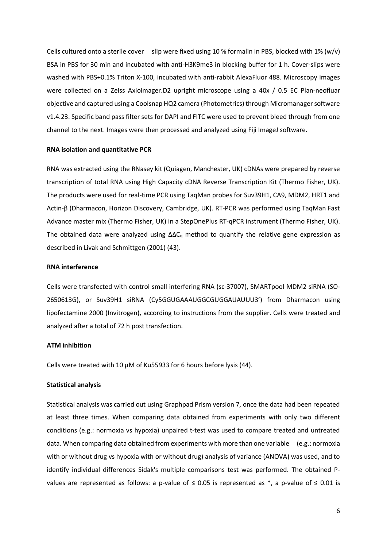Cells cultured onto a sterile cover slip were fixed using 10 % formalin in PBS, blocked with 1% (w/v) BSA in PBS for 30 min and incubated with anti-H3K9me3 in blocking buffer for 1 h. Cover-slips were washed with PBS+0.1% Triton X-100, incubated with anti-rabbit AlexaFluor 488. Microscopy images were collected on a Zeiss Axioimager.D2 upright microscope using a 40x / 0.5 EC Plan-neofluar objective and captured using a Coolsnap HQ2 camera (Photometrics) through Micromanager software v1.4.23. Specific band pass filter sets for DAPI and FITC were used to prevent bleed through from one channel to the next. Images were then processed and analyzed using Fiji ImageJ software.

# **RNA isolation and quantitative PCR**

RNA was extracted using the RNasey kit (Quiagen, Manchester, UK) cDNAs were prepared by reverse transcription of total RNA using High Capacity cDNA Reverse Transcription Kit (Thermo Fisher, UK). The products were used for real-time PCR using TaqMan probes for Suv39H1, CA9, MDM2, HRT1 and Actin-β (Dharmacon, Horizon Discovery, Cambridge, UK). RT-PCR was performed using TaqMan Fast Advance master mix (Thermo Fisher, UK) in a StepOnePlus RT-qPCR instrument (Thermo Fisher, UK). The obtained data were analyzed using  $\Delta\Delta C_q$  method to quantify the relative gene expression as described in Livak and Schmittgen (2001) (43).

# **RNA interference**

Cells were transfected with control small interfering RNA (sc-37007), SMARTpool MDM2 siRNA (SO-2650613G), or Suv39H1 siRNA (Cy5GGUGAAAUGGCGUGGAUAUUU3') from Dharmacon using lipofectamine 2000 (Invitrogen), according to instructions from the supplier. Cells were treated and analyzed after a total of 72 h post transfection.

# **ATM inhibition**

Cells were treated with 10 µM of Ku55933 for 6 hours before lysis (44).

# **Statistical analysis**

Statistical analysis was carried out using Graphpad Prism version 7, once the data had been repeated at least three times. When comparing data obtained from experiments with only two different conditions (e.g.: normoxia vs hypoxia) unpaired t-test was used to compare treated and untreated data. When comparing data obtained from experiments with more than one variable (e.g.: normoxia with or without drug vs hypoxia with or without drug) analysis of variance (ANOVA) was used, and to identify individual differences Sidak's multiple comparisons test was performed. The obtained Pvalues are represented as follows: a p-value of  $\leq$  0.05 is represented as \*, a p-value of  $\leq$  0.01 is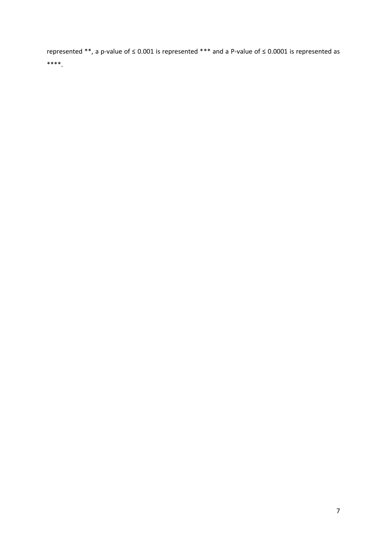represented \*\*, a p-value of ≤ 0.001 is represented \*\*\* and a P-value of ≤ 0.0001 is represented as \*\*\*\*.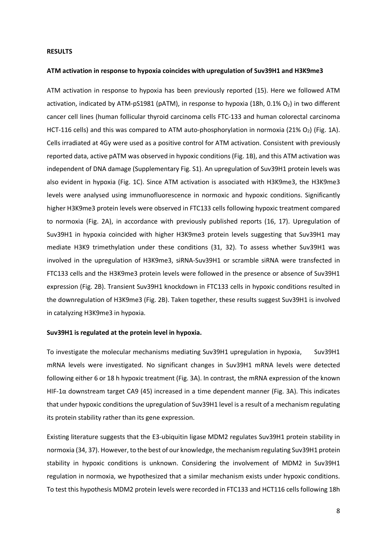### **RESULTS**

#### **ATM activation in response to hypoxia coincides with upregulation of Suv39H1 and H3K9me3**

ATM activation in response to hypoxia has been previously reported (15). Here we followed ATM activation, indicated by ATM-pS1981 (pATM), in response to hypoxia (18h, 0.1% O2) in two different cancer cell lines (human follicular thyroid carcinoma cells FTC-133 and human colorectal carcinoma HCT-116 cells) and this was compared to ATM auto-phosphorylation in normoxia (21% O<sub>2</sub>) (Fig. 1A). Cells irradiated at 4Gy were used as a positive control for ATM activation. Consistent with previously reported data, active pATM was observed in hypoxic conditions (Fig. 1B), and this ATM activation was independent of DNA damage (Supplementary Fig. S1). An upregulation of Suv39H1 protein levels was also evident in hypoxia (Fig. 1C). Since ATM activation is associated with H3K9me3, the H3K9me3 levels were analysed using immunofluorescence in normoxic and hypoxic conditions. Significantly higher H3K9me3 protein levels were observed in FTC133 cells following hypoxic treatment compared to normoxia (Fig. 2A), in accordance with previously published reports (16, 17). Upregulation of Suv39H1 in hypoxia coincided with higher H3K9me3 protein levels suggesting that Suv39H1 may mediate H3K9 trimethylation under these conditions (31, 32). To assess whether Suv39H1 was involved in the upregulation of H3K9me3, siRNA-Suv39H1 or scramble siRNA were transfected in FTC133 cells and the H3K9me3 protein levels were followed in the presence or absence of Suv39H1 expression (Fig. 2B). Transient Suv39H1 knockdown in FTC133 cells in hypoxic conditions resulted in the downregulation of H3K9me3 (Fig. 2B). Taken together, these results suggest Suv39H1 is involved in catalyzing H3K9me3 in hypoxia.

# **Suv39H1 is regulated at the protein level in hypoxia.**

To investigate the molecular mechanisms mediating Suv39H1 upregulation in hypoxia, Suv39H1 mRNA levels were investigated. No significant changes in Suv39H1 mRNA levels were detected following either 6 or 18 h hypoxic treatment (Fig. 3A). In contrast, the mRNA expression of the known HIF-1α downstream target CA9 (45) increased in a time dependent manner (Fig. 3A). This indicates that under hypoxic conditions the upregulation of Suv39H1 level is a result of a mechanism regulating its protein stability rather than its gene expression.

Existing literature suggests that the E3-ubiquitin ligase MDM2 regulates Suv39H1 protein stability in normoxia (34, 37). However, to the best of our knowledge, the mechanism regulating Suv39H1 protein stability in hypoxic conditions is unknown. Considering the involvement of MDM2 in Suv39H1 regulation in normoxia, we hypothesized that a similar mechanism exists under hypoxic conditions. To test this hypothesis MDM2 protein levels were recorded in FTC133 and HCT116 cells following 18h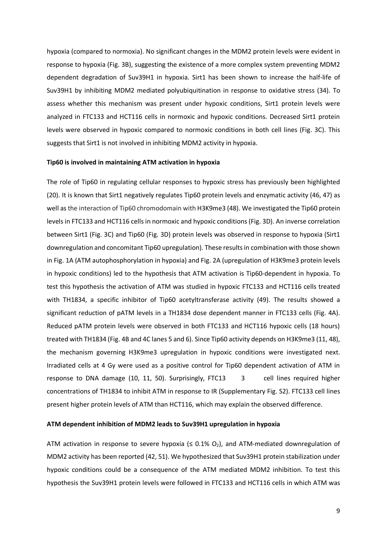hypoxia (compared to normoxia). No significant changes in the MDM2 protein levels were evident in response to hypoxia (Fig. 3B), suggesting the existence of a more complex system preventing MDM2 dependent degradation of Suv39H1 in hypoxia. Sirt1 has been shown to increase the half-life of Suv39H1 by inhibiting MDM2 mediated polyubiquitination in response to oxidative stress (34). To assess whether this mechanism was present under hypoxic conditions, Sirt1 protein levels were analyzed in FTC133 and HCT116 cells in normoxic and hypoxic conditions. Decreased Sirt1 protein levels were observed in hypoxic compared to normoxic conditions in both cell lines (Fig. 3C). This suggests that Sirt1 is not involved in inhibiting MDM2 activity in hypoxia.

#### **Tip60 is involved in maintaining ATM activation in hypoxia**

The role of Tip60 in regulating cellular responses to hypoxic stress has previously been highlighted (20). It is known that Sirt1 negatively regulates Tip60 protein levels and enzymatic activity (46, 47) as well as the interaction of Tip60 chromodomain with H3K9me3 (48). We investigated the Tip60 protein levels in FTC133 and HCT116 cells in normoxic and hypoxic conditions (Fig. 3D). An inverse correlation between Sirt1 (Fig. 3C) and Tip60 (Fig. 3D) protein levels was observed in response to hypoxia (Sirt1 downregulation and concomitant Tip60 upregulation). These results in combination with those shown in Fig. 1A (ATM autophosphorylation in hypoxia) and Fig. 2A (upregulation of H3K9me3 protein levels in hypoxic conditions) led to the hypothesis that ATM activation is Tip60-dependent in hypoxia. To test this hypothesis the activation of ATM was studied in hypoxic FTC133 and HCT116 cells treated with TH1834, a specific inhibitor of Tip60 acetyltransferase activity (49). The results showed a significant reduction of pATM levels in a TH1834 dose dependent manner in FTC133 cells (Fig. 4A). Reduced pATM protein levels were observed in both FTC133 and HCT116 hypoxic cells (18 hours) treated with TH1834 (Fig. 4B and 4C lanes 5 and 6). Since Tip60 activity depends on H3K9me3 (11, 48), the mechanism governing H3K9me3 upregulation in hypoxic conditions were investigated next. Irradiated cells at 4 Gy were used as a positive control for Tip60 dependent activation of ATM in response to DNA damage (10, 11, 50). Surprisingly, FTC13 3 cell lines required higher concentrations of TH1834 to inhibit ATM in response to IR (Supplementary Fig. S2). FTC133 cell lines present higher protein levels of ATM than HCT116, which may explain the observed difference.

### **ATM dependent inhibition of MDM2 leads to Suv39H1 upregulation in hypoxia**

ATM activation in response to severe hypoxia ( $\leq$  0.1% O<sub>2</sub>), and ATM-mediated downregulation of MDM2 activity has been reported (42, 51). We hypothesized that Suv39H1 protein stabilization under hypoxic conditions could be a consequence of the ATM mediated MDM2 inhibition. To test this hypothesis the Suv39H1 protein levels were followed in FTC133 and HCT116 cells in which ATM was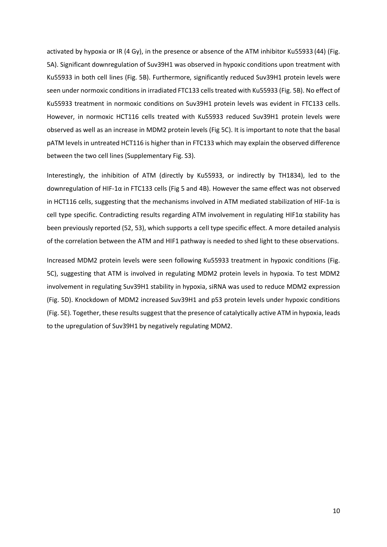activated by hypoxia or IR (4 Gy), in the presence or absence of the ATM inhibitor Ku55933 (44) (Fig. 5A). Significant downregulation of Suv39H1 was observed in hypoxic conditions upon treatment with Ku55933 in both cell lines (Fig. 5B). Furthermore, significantly reduced Suv39H1 protein levels were seen under normoxic conditions in irradiated FTC133 cells treated with Ku55933 (Fig. 5B). No effect of Ku55933 treatment in normoxic conditions on Suv39H1 protein levels was evident in FTC133 cells. However, in normoxic HCT116 cells treated with Ku55933 reduced Suv39H1 protein levels were observed as well as an increase in MDM2 protein levels (Fig 5C). It is important to note that the basal pATM levels in untreated HCT116 is higher than in FTC133 which may explain the observed difference between the two cell lines (Supplementary Fig. S3).

Interestingly, the inhibition of ATM (directly by Ku55933, or indirectly by TH1834), led to the downregulation of HIF-1α in FTC133 cells (Fig 5 and 4B). However the same effect was not observed in HCT116 cells, suggesting that the mechanisms involved in ATM mediated stabilization of HIF-1 $\alpha$  is cell type specific. Contradicting results regarding ATM involvement in regulating HIF1α stability has been previously reported (52, 53), which supports a cell type specific effect. A more detailed analysis of the correlation between the ATM and HIF1 pathway is needed to shed light to these observations.

Increased MDM2 protein levels were seen following Ku55933 treatment in hypoxic conditions (Fig. 5C), suggesting that ATM is involved in regulating MDM2 protein levels in hypoxia. To test MDM2 involvement in regulating Suv39H1 stability in hypoxia, siRNA was used to reduce MDM2 expression (Fig. 5D). Knockdown of MDM2 increased Suv39H1 and p53 protein levels under hypoxic conditions (Fig. 5E). Together, these results suggest that the presence of catalytically active ATM in hypoxia, leads to the upregulation of Suv39H1 by negatively regulating MDM2.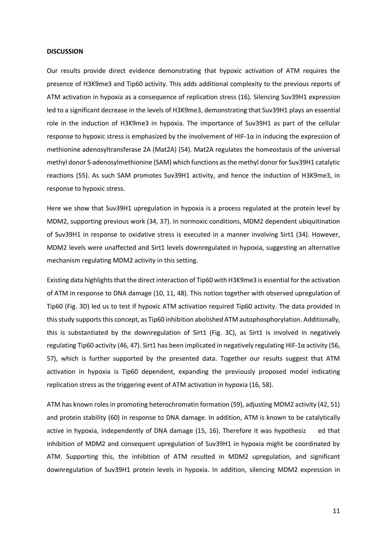### **DISCUSSION**

Our results provide direct evidence demonstrating that hypoxic activation of ATM requires the presence of H3K9me3 and Tip60 activity. This adds additional complexity to the previous reports of ATM activation in hypoxia as a consequence of replication stress (16). Silencing Suv39H1 expression led to a significant decrease in the levels of H3K9me3, demonstrating that Suv39H1 plays an essential role in the induction of H3K9me3 in hypoxia. The importance of Suv39H1 as part of the cellular response to hypoxic stress is emphasized by the involvement of HIF-1 $\alpha$  in inducing the expression of methionine adenosyltransferase 2A (Mat2A) (54). Mat2A regulates the homeostasis of the universal methyl donor S-adenosylmethionine (SAM) which functions as the methyl donor for Suv39H1 catalytic reactions (55). As such SAM promotes Suv39H1 activity, and hence the induction of H3K9me3, in response to hypoxic stress.

Here we show that Suv39H1 upregulation in hypoxia is a process regulated at the protein level by MDM2, supporting previous work (34, 37). In normoxic conditions, MDM2 dependent ubiquitination of Suv39H1 in response to oxidative stress is executed in a manner involving Sirt1 (34). However, MDM2 levels were unaffected and Sirt1 levels downregulated in hypoxia, suggesting an alternative mechanism regulating MDM2 activity in this setting.

Existing data highlights that the direct interaction of Tip60 with H3K9me3 is essential for the activation of ATM in response to DNA damage (10, 11, 48). This notion together with observed upregulation of Tip60 (Fig. 3D) led us to test if hypoxic ATM activation required Tip60 activity. The data provided in this study supports this concept, as Tip60 inhibition abolished ATM autophosphorylation. Additionally, this is substantiated by the downregulation of Sirt1 (Fig. 3C), as Sirt1 is involved in negatively regulating Tip60 activity (46, 47). Sirt1 has been implicated in negatively regulating HIF-1α activity (56, 57), which is further supported by the presented data. Together our results suggest that ATM activation in hypoxia is Tip60 dependent, expanding the previously proposed model indicating replication stress as the triggering event of ATM activation in hypoxia (16, 58).

ATM has known roles in promoting heterochromatin formation (59), adjusting MDM2 activity (42, 51) and protein stability (60) in response to DNA damage. In addition, ATM is known to be catalytically active in hypoxia, independently of DNA damage (15, 16). Therefore it was hypothesiz ed that inhibition of MDM2 and consequent upregulation of Suv39H1 in hypoxia might be coordinated by ATM. Supporting this, the inhibition of ATM resulted in MDM2 upregulation, and significant downregulation of Suv39H1 protein levels in hypoxia. In addition, silencing MDM2 expression in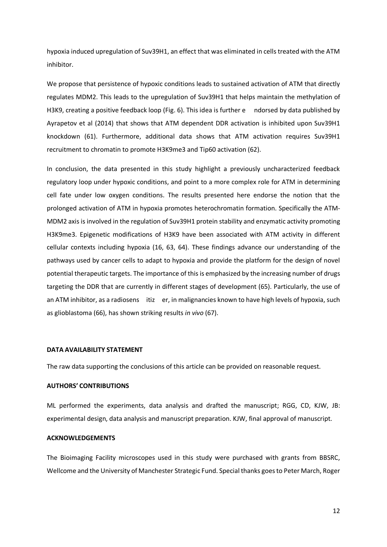hypoxia induced upregulation of Suv39H1, an effect that was eliminated in cells treated with the ATM inhibitor.

We propose that persistence of hypoxic conditions leads to sustained activation of ATM that directly regulates MDM2. This leads to the upregulation of Suv39H1 that helps maintain the methylation of H3K9, creating a positive feedback loop (Fig. 6). This idea is further e ndorsed by data published by Ayrapetov et al (2014) that shows that ATM dependent DDR activation is inhibited upon Suv39H1 knockdown (61). Furthermore, additional data shows that ATM activation requires Suv39H1 recruitment to chromatin to promote H3K9me3 and Tip60 activation (62).

In conclusion, the data presented in this study highlight a previously uncharacterized feedback regulatory loop under hypoxic conditions, and point to a more complex role for ATM in determining cell fate under low oxygen conditions. The results presented here endorse the notion that the prolonged activation of ATM in hypoxia promotes heterochromatin formation. Specifically the ATM-MDM2 axis is involved in the regulation of Suv39H1 protein stability and enzymatic activity promoting H3K9me3. Epigenetic modifications of H3K9 have been associated with ATM activity in different cellular contexts including hypoxia (16, 63, 64). These findings advance our understanding of the pathways used by cancer cells to adapt to hypoxia and provide the platform for the design of novel potential therapeutic targets. The importance of this is emphasized by the increasing number of drugs targeting the DDR that are currently in different stages of development (65). Particularly, the use of an ATM inhibitor, as a radiosens itiz er, in malignancies known to have high levels of hypoxia, such as glioblastoma (66), has shown striking results *in vivo* (67).

#### **DATA AVAILABILITY STATEMENT**

The raw data supporting the conclusions of this article can be provided on reasonable request.

### **AUTHORS' CONTRIBUTIONS**

ML performed the experiments, data analysis and drafted the manuscript; RGG, CD, KJW, JB: experimental design, data analysis and manuscript preparation. KJW, final approval of manuscript.

# **ACKNOWLEDGEMENTS**

The Bioimaging Facility microscopes used in this study were purchased with grants from BBSRC, Wellcome and the University of Manchester Strategic Fund. Special thanks goes to Peter March, Roger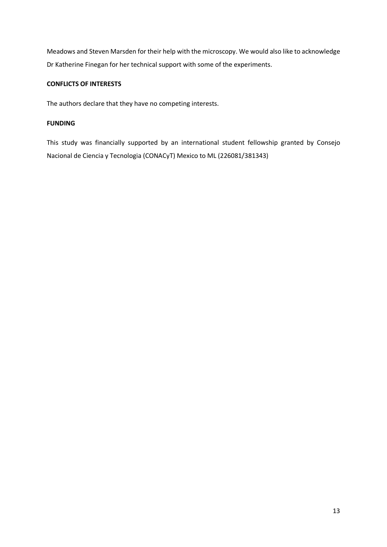Meadows and Steven Marsden for their help with the microscopy. We would also like to acknowledge Dr Katherine Finegan for her technical support with some of the experiments.

# **CONFLICTS OF INTERESTS**

The authors declare that they have no competing interests.

# **FUNDING**

This study was financially supported by an international student fellowship granted by Consejo Nacional de Ciencia y Tecnologia (CONACyT) Mexico to ML (226081/381343)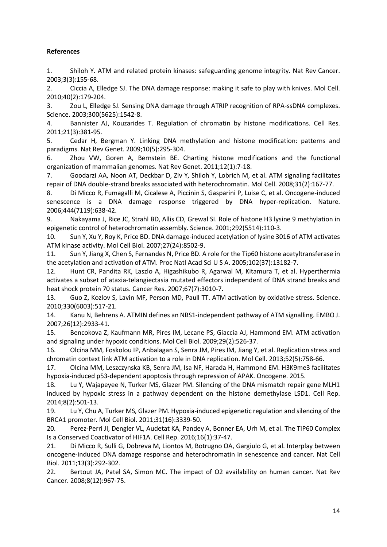# **References**

1. Shiloh Y. ATM and related protein kinases: safeguarding genome integrity. Nat Rev Cancer. 2003;3(3):155-68.

2. Ciccia A, Elledge SJ. The DNA damage response: making it safe to play with knives. Mol Cell. 2010;40(2):179-204.

3. Zou L, Elledge SJ. Sensing DNA damage through ATRIP recognition of RPA-ssDNA complexes. Science. 2003;300(5625):1542-8.

4. Bannister AJ, Kouzarides T. Regulation of chromatin by histone modifications. Cell Res. 2011;21(3):381-95.

5. Cedar H, Bergman Y. Linking DNA methylation and histone modification: patterns and paradigms. Nat Rev Genet. 2009;10(5):295-304.

6. Zhou VW, Goren A, Bernstein BE. Charting histone modifications and the functional organization of mammalian genomes. Nat Rev Genet. 2011;12(1):7-18.

7. Goodarzi AA, Noon AT, Deckbar D, Ziv Y, Shiloh Y, Lobrich M, et al. ATM signaling facilitates repair of DNA double-strand breaks associated with heterochromatin. Mol Cell. 2008;31(2):167-77.

8. Di Micco R, Fumagalli M, Cicalese A, Piccinin S, Gasparini P, Luise C, et al. Oncogene-induced senescence is a DNA damage response triggered by DNA hyper-replication. Nature. 2006;444(7119):638-42.

9. Nakayama J, Rice JC, Strahl BD, Allis CD, Grewal SI. Role of histone H3 lysine 9 methylation in epigenetic control of heterochromatin assembly. Science. 2001;292(5514):110-3.

10. Sun Y, Xu Y, Roy K, Price BD. DNA damage-induced acetylation of lysine 3016 of ATM activates ATM kinase activity. Mol Cell Biol. 2007;27(24):8502-9.

11. Sun Y, Jiang X, Chen S, Fernandes N, Price BD. A role for the Tip60 histone acetyltransferase in the acetylation and activation of ATM. Proc Natl Acad Sci U S A. 2005;102(37):13182-7.

12. Hunt CR, Pandita RK, Laszlo A, Higashikubo R, Agarwal M, Kitamura T, et al. Hyperthermia activates a subset of ataxia-telangiectasia mutated effectors independent of DNA strand breaks and heat shock protein 70 status. Cancer Res. 2007;67(7):3010-7.

13. Guo Z, Kozlov S, Lavin MF, Person MD, Paull TT. ATM activation by oxidative stress. Science. 2010;330(6003):517-21.

14. Kanu N, Behrens A. ATMIN defines an NBS1-independent pathway of ATM signalling. EMBO J. 2007;26(12):2933-41.

15. Bencokova Z, Kaufmann MR, Pires IM, Lecane PS, Giaccia AJ, Hammond EM. ATM activation and signaling under hypoxic conditions. Mol Cell Biol. 2009;29(2):526-37.

16. Olcina MM, Foskolou IP, Anbalagan S, Senra JM, Pires IM, Jiang Y, et al. Replication stress and chromatin context link ATM activation to a role in DNA replication. Mol Cell. 2013;52(5):758-66.

17. Olcina MM, Leszczynska KB, Senra JM, Isa NF, Harada H, Hammond EM. H3K9me3 facilitates hypoxia-induced p53-dependent apoptosis through repression of APAK. Oncogene. 2015.

18. Lu Y, Wajapeyee N, Turker MS, Glazer PM. Silencing of the DNA mismatch repair gene MLH1 induced by hypoxic stress in a pathway dependent on the histone demethylase LSD1. Cell Rep. 2014;8(2):501-13.

19. Lu Y, Chu A, Turker MS, Glazer PM. Hypoxia-induced epigenetic regulation and silencing of the BRCA1 promoter. Mol Cell Biol. 2011;31(16):3339-50.

20. Perez-Perri JI, Dengler VL, Audetat KA, Pandey A, Bonner EA, Urh M, et al. The TIP60 Complex Is a Conserved Coactivator of HIF1A. Cell Rep. 2016;16(1):37-47.

21. Di Micco R, Sulli G, Dobreva M, Liontos M, Botrugno OA, Gargiulo G, et al. Interplay between oncogene-induced DNA damage response and heterochromatin in senescence and cancer. Nat Cell Biol. 2011;13(3):292-302.

22. Bertout JA, Patel SA, Simon MC. The impact of O2 availability on human cancer. Nat Rev Cancer. 2008;8(12):967-75.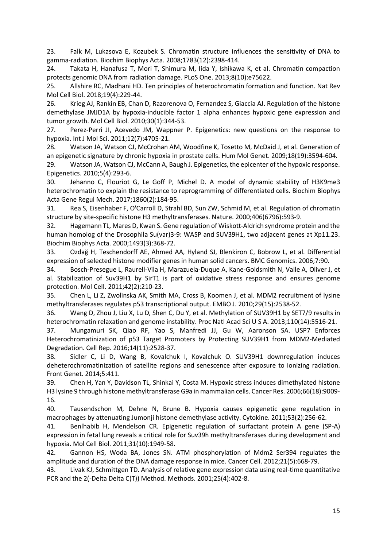23. Falk M, Lukasova E, Kozubek S. Chromatin structure influences the sensitivity of DNA to gamma-radiation. Biochim Biophys Acta. 2008;1783(12):2398-414.

24. Takata H, Hanafusa T, Mori T, Shimura M, Iida Y, Ishikawa K, et al. Chromatin compaction protects genomic DNA from radiation damage. PLoS One. 2013;8(10):e75622.

25. Allshire RC, Madhani HD. Ten principles of heterochromatin formation and function. Nat Rev Mol Cell Biol. 2018;19(4):229-44.

26. Krieg AJ, Rankin EB, Chan D, Razorenova O, Fernandez S, Giaccia AJ. Regulation of the histone demethylase JMJD1A by hypoxia-inducible factor 1 alpha enhances hypoxic gene expression and tumor growth. Mol Cell Biol. 2010;30(1):344-53.

27. Perez-Perri JI, Acevedo JM, Wappner P. Epigenetics: new questions on the response to hypoxia. Int J Mol Sci. 2011;12(7):4705-21.

28. Watson JA, Watson CJ, McCrohan AM, Woodfine K, Tosetto M, McDaid J, et al. Generation of an epigenetic signature by chronic hypoxia in prostate cells. Hum Mol Genet. 2009;18(19):3594-604.

29. Watson JA, Watson CJ, McCann A, Baugh J. Epigenetics, the epicenter of the hypoxic response. Epigenetics. 2010;5(4):293-6.

30. Jehanno C, Flouriot G, Le Goff P, Michel D. A model of dynamic stability of H3K9me3 heterochromatin to explain the resistance to reprogramming of differentiated cells. Biochim Biophys Acta Gene Regul Mech. 2017;1860(2):184-95.

31. Rea S, Eisenhaber F, O'Carroll D, Strahl BD, Sun ZW, Schmid M, et al. Regulation of chromatin structure by site-specific histone H3 methyltransferases. Nature. 2000;406(6796):593-9.

32. Hagemann TL, Mares D, Kwan S. Gene regulation of Wiskott-Aldrich syndrome protein and the human homolog of the Drosophila Su(var)3-9: WASP and SUV39H1, two adjacent genes at Xp11.23. Biochim Biophys Acta. 2000;1493(3):368-72.

33. Ozdağ H, Teschendorff AE, Ahmed AA, Hyland SJ, Blenkiron C, Bobrow L, et al. Differential expression of selected histone modifier genes in human solid cancers. BMC Genomics. 2006;7:90.

34. Bosch-Presegue L, Raurell-Vila H, Marazuela-Duque A, Kane-Goldsmith N, Valle A, Oliver J, et al. Stabilization of Suv39H1 by SirT1 is part of oxidative stress response and ensures genome protection. Mol Cell. 2011;42(2):210-23.

35. Chen L, Li Z, Zwolinska AK, Smith MA, Cross B, Koomen J, et al. MDM2 recruitment of lysine methyltransferases regulates p53 transcriptional output. EMBO J. 2010;29(15):2538-52.

36. Wang D, Zhou J, Liu X, Lu D, Shen C, Du Y, et al. Methylation of SUV39H1 by SET7/9 results in heterochromatin relaxation and genome instability. Proc Natl Acad Sci U S A. 2013;110(14):5516-21.

37. Mungamuri SK, Qiao RF, Yao S, Manfredi JJ, Gu W, Aaronson SA. USP7 Enforces Heterochromatinization of p53 Target Promoters by Protecting SUV39H1 from MDM2-Mediated Degradation. Cell Rep. 2016;14(11):2528-37.

38. Sidler C, Li D, Wang B, Kovalchuk I, Kovalchuk O. SUV39H1 downregulation induces deheterochromatinization of satellite regions and senescence after exposure to ionizing radiation. Front Genet. 2014;5:411.

39. Chen H, Yan Y, Davidson TL, Shinkai Y, Costa M. Hypoxic stress induces dimethylated histone H3 lysine 9 through histone methyltransferase G9a in mammalian cells. Cancer Res. 2006;66(18):9009- 16.

40. Tausendschon M, Dehne N, Brune B. Hypoxia causes epigenetic gene regulation in macrophages by attenuating Jumonji histone demethylase activity. Cytokine. 2011;53(2):256-62.

41. Benlhabib H, Mendelson CR. Epigenetic regulation of surfactant protein A gene (SP-A) expression in fetal lung reveals a critical role for Suv39h methyltransferases during development and hypoxia. Mol Cell Biol. 2011;31(10):1949-58.

42. Gannon HS, Woda BA, Jones SN. ATM phosphorylation of Mdm2 Ser394 regulates the amplitude and duration of the DNA damage response in mice. Cancer Cell. 2012;21(5):668-79.

43. Livak KJ, Schmittgen TD. Analysis of relative gene expression data using real-time quantitative PCR and the 2(-Delta Delta C(T)) Method. Methods. 2001;25(4):402-8.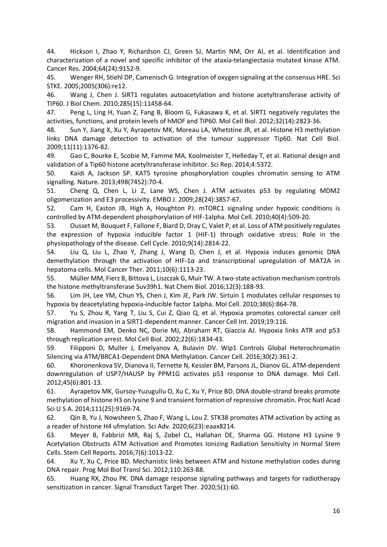44. Hickson I, Zhao Y, Richardson CJ, Green SJ, Martin NM, Orr AI, et al. Identification and characterization of a novel and specific inhibitor of the ataxia-telangiectasia mutated kinase ATM. Cancer Res. 2004;64(24):9152-9.

45. Wenger RH, Stiehl DP, Camenisch G. Integration of oxygen signaling at the consensus HRE. Sci STKE. 2005;2005(306):re12.

46. Wang J, Chen J. SIRT1 regulates autoacetylation and histone acetyltransferase activity of TIP60. J Biol Chem. 2010;285(15):11458-64.

47. Peng L, Ling H, Yuan Z, Fang B, Bloom G, Fukasawa K, et al. SIRT1 negatively regulates the activities, functions, and protein levels of hMOF and TIP60. Mol Cell Biol. 2012;32(14):2823-36.

48. Sun Y, Jiang X, Xu Y, Ayrapetov MK, Moreau LA, Whetstine JR, et al. Histone H3 methylation links DNA damage detection to activation of the tumour suppressor Tip60. Nat Cell Biol. 2009;11(11):1376-82.

49. Gao C, Bourke E, Scobie M, Famme MA, Koolmeister T, Helleday T, et al. Rational design and validation of a Tip60 histone acetyltransferase inhibitor. Sci Rep. 2014;4:5372.

50. Kaidi A, Jackson SP. KAT5 tyrosine phosphorylation couples chromatin sensing to ATM signalling. Nature. 2013;498(7452):70-4.

51. Cheng Q, Chen L, Li Z, Lane WS, Chen J. ATM activates p53 by regulating MDM2 oligomerization and E3 processivity. EMBO J. 2009;28(24):3857-67.

52. Cam H, Easton JB, High A, Houghton PJ. mTORC1 signaling under hypoxic conditions is controlled by ATM-dependent phosphorylation of HIF-1alpha. Mol Cell. 2010;40(4):509-20.

53. Ousset M, Bouquet F, Fallone F, Biard D, Dray C, Valet P, et al. Loss of ATM positively regulates the expression of hypoxia inducible factor 1 (HIF-1) through oxidative stress: Role in the physiopathology of the disease. Cell Cycle. 2010;9(14):2814-22.

54. Liu Q, Liu L, Zhao Y, Zhang J, Wang D, Chen J, et al. Hypoxia induces genomic DNA demethylation through the activation of HIF-1α and transcriptional upregulation of MAT2A in hepatoma cells. Mol Cancer Ther. 2011;10(6):1113-23.

55. Müller MM, Fierz B, Bittova L, Liszczak G, Muir TW. A two-state activation mechanism controls the histone methyltransferase Suv39h1. Nat Chem Biol. 2016;12(3):188-93.

56. Lim JH, Lee YM, Chun YS, Chen J, Kim JE, Park JW. Sirtuin 1 modulates cellular responses to hypoxia by deacetylating hypoxia-inducible factor 1alpha. Mol Cell. 2010;38(6):864-78.

57. Yu S, Zhou R, Yang T, Liu S, Cui Z, Qiao Q, et al. Hypoxia promotes colorectal cancer cell migration and invasion in a SIRT1-dependent manner. Cancer Cell Int. 2019;19:116.

58. Hammond EM, Denko NC, Dorie MJ, Abraham RT, Giaccia AJ. Hypoxia links ATR and p53 through replication arrest. Mol Cell Biol. 2002;22(6):1834-43.

59. Filipponi D, Muller J, Emelyanov A, Bulavin DV. Wip1 Controls Global Heterochromatin Silencing via ATM/BRCA1-Dependent DNA Methylation. Cancer Cell. 2016;30(2):361-2.

60. Khoronenkova SV, Dianova II, Ternette N, Kessler BM, Parsons JL, Dianov GL. ATM-dependent downregulation of USP7/HAUSP by PPM1G activates p53 response to DNA damage. Mol Cell. 2012;45(6):801-13.

61. Ayrapetov MK, Gursoy-Yuzugullu O, Xu C, Xu Y, Price BD. DNA double-strand breaks promote methylation of histone H3 on lysine 9 and transient formation of repressive chromatin. Proc Natl Acad Sci U S A. 2014;111(25):9169-74.

62. Qin B, Yu J, Nowsheen S, Zhao F, Wang L, Lou Z. STK38 promotes ATM activation by acting as a reader of histone H4 ufmylation. Sci Adv. 2020;6(23):eaax8214.

63. Meyer B, Fabbrizi MR, Raj S, Zobel CL, Hallahan DE, Sharma GG. Histone H3 Lysine 9 Acetylation Obstructs ATM Activation and Promotes Ionizing Radiation Sensitivity in Normal Stem Cells. Stem Cell Reports. 2016;7(6):1013-22.

64. Xu Y, Xu C, Price BD. Mechanistic links between ATM and histone methylation codes during DNA repair. Prog Mol Biol Transl Sci. 2012;110:263-88.

65. Huang RX, Zhou PK. DNA damage response signaling pathways and targets for radiotherapy sensitization in cancer. Signal Transduct Target Ther. 2020;5(1):60.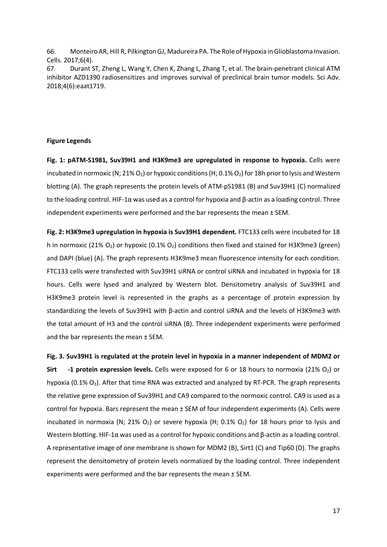66. Monteiro AR, Hill R, Pilkington GJ, Madureira PA. The Role of Hypoxia in Glioblastoma Invasion. Cells. 2017;6(4).

67. Durant ST, Zheng L, Wang Y, Chen K, Zhang L, Zhang T, et al. The brain-penetrant clinical ATM inhibitor AZD1390 radiosensitizes and improves survival of preclinical brain tumor models. Sci Adv. 2018;4(6):eaat1719.

# **Figure Legends**

**Fig. 1: pATM-S1981, Suv39H1 and H3K9me3 are upregulated in response to hypoxia.** Cells were incubated in normoxic (N; 21% O<sub>2</sub>) or hypoxic conditions (H; 0.1% O<sub>2</sub>) for 18h prior to lysis and Western blotting (A). The graph represents the protein levels of ATM-pS1981 (B) and Suv39H1 (C) normalized to the loading control. HIF-1α was used as a control for hypoxia and β-actin as a loading control. Three independent experiments were performed and the bar represents the mean ± SEM.

**Fig. 2: H3K9me3 upregulation in hypoxia is Suv39H1 dependent.** FTC133 cells were incubated for 18 h in normoxic (21%  $O_2$ ) or hypoxic (0.1%  $O_2$ ) conditions then fixed and stained for H3K9me3 (green) and DAPI (blue) (A). The graph represents H3K9me3 mean fluorescence intensity for each condition. FTC133 cells were transfected with Suv39H1 siRNA or control siRNA and incubated in hypoxia for 18 hours. Cells were lysed and analyzed by Western blot. Densitometry analysis of Suv39H1 and H3K9me3 protein level is represented in the graphs as a percentage of protein expression by standardizing the levels of Suv39H1 with β-actin and control siRNA and the levels of H3K9me3 with the total amount of H3 and the control siRNA (B). Three independent experiments were performed and the bar represents the mean ± SEM.

**Fig. 3. Suv39H1 is regulated at the protein level in hypoxia in a manner independent of MDM2 or Sirt -1 protein expression levels.** Cells were exposed for 6 or 18 hours to normoxia (21% O<sub>2</sub>) or hypoxia (0.1% O<sub>2</sub>). After that time RNA was extracted and analyzed by RT-PCR. The graph represents the relative gene expression of Suv39H1 and CA9 compared to the normoxic control. CA9 is used as a control for hypoxia. Bars represent the mean ± SEM of four independent experiments (A). Cells were incubated in normoxia (N; 21% O<sub>2</sub>) or severe hypoxia (H; 0.1% O<sub>2</sub>) for 18 hours prior to lysis and Western blotting. HIF-1α was used as a control for hypoxic conditions and β-actin as a loading control. A representative image of one membrane is shown for MDM2 (B), Sirt1 (C) and Tip60 (D). The graphs represent the densitometry of protein levels normalized by the loading control. Three independent experiments were performed and the bar represents the mean ± SEM.